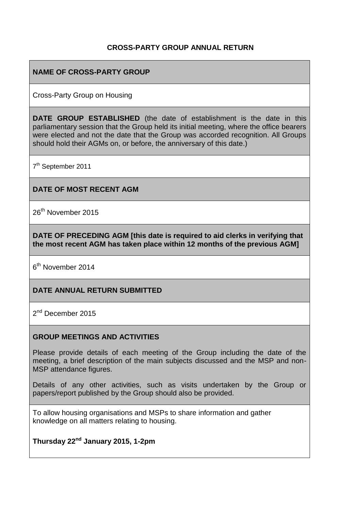#### **CROSS-PARTY GROUP ANNUAL RETURN**

#### **NAME OF CROSS-PARTY GROUP**

Cross-Party Group on Housing

**DATE GROUP ESTABLISHED** (the date of establishment is the date in this parliamentary session that the Group held its initial meeting, where the office bearers were elected and not the date that the Group was accorded recognition. All Groups should hold their AGMs on, or before, the anniversary of this date.)

7<sup>th</sup> September 2011

**DATE OF MOST RECENT AGM**

26<sup>th</sup> November 2015

**DATE OF PRECEDING AGM [this date is required to aid clerks in verifying that the most recent AGM has taken place within 12 months of the previous AGM]**

6<sup>th</sup> November 2014

#### **DATE ANNUAL RETURN SUBMITTED**

2<sup>nd</sup> December 2015

#### **GROUP MEETINGS AND ACTIVITIES**

Please provide details of each meeting of the Group including the date of the meeting, a brief description of the main subjects discussed and the MSP and non-MSP attendance figures.

Details of any other activities, such as visits undertaken by the Group or papers/report published by the Group should also be provided.

To allow housing organisations and MSPs to share information and gather knowledge on all matters relating to housing.

**Thursday 22nd January 2015, 1-2pm**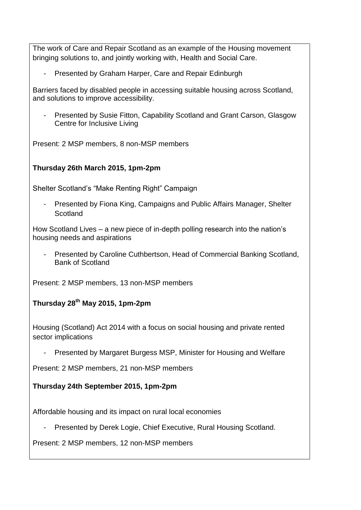The work of Care and Repair Scotland as an example of the Housing movement bringing solutions to, and jointly working with, Health and Social Care.

Presented by Graham Harper, Care and Repair Edinburgh

Barriers faced by disabled people in accessing suitable housing across Scotland, and solutions to improve accessibility.

Presented by Susie Fitton, Capability Scotland and Grant Carson, Glasgow Centre for Inclusive Living

Present: 2 MSP members, 8 non-MSP members

# **Thursday 26th March 2015, 1pm-2pm**

Shelter Scotland's "Make Renting Right" Campaign

- Presented by Fiona King, Campaigns and Public Affairs Manager, Shelter **Scotland** 

How Scotland Lives – a new piece of in-depth polling research into the nation's housing needs and aspirations

- Presented by Caroline Cuthbertson, Head of Commercial Banking Scotland, Bank of Scotland

Present: 2 MSP members, 13 non-MSP members

**Thursday 28 th May 2015, 1pm-2pm**

Housing (Scotland) Act 2014 with a focus on social housing and private rented sector implications

Presented by Margaret Burgess MSP, Minister for Housing and Welfare

Present: 2 MSP members, 21 non-MSP members

# **Thursday 24th September 2015, 1pm-2pm**

Affordable housing and its impact on rural local economies

- Presented by Derek Logie, Chief Executive, Rural Housing Scotland.

Present: 2 MSP members, 12 non-MSP members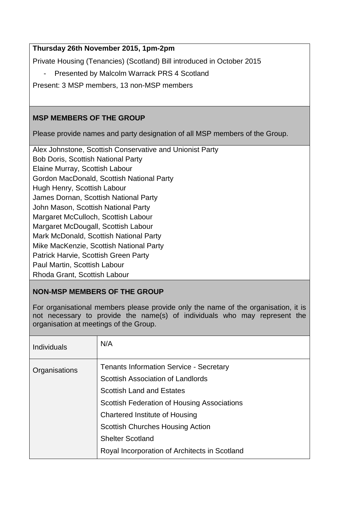# **Thursday 26th November 2015, 1pm-2pm**

Private Housing (Tenancies) (Scotland) Bill introduced in October 2015

- Presented by Malcolm Warrack PRS 4 Scotland

Present: 3 MSP members, 13 non-MSP members

# **MSP MEMBERS OF THE GROUP**

Please provide names and party designation of all MSP members of the Group.

| Alex Johnstone, Scottish Conservative and Unionist Party |
|----------------------------------------------------------|
| <b>Bob Doris, Scottish National Party</b>                |
| Elaine Murray, Scottish Labour                           |
| Gordon MacDonald, Scottish National Party                |
| Hugh Henry, Scottish Labour                              |
| James Dornan, Scottish National Party                    |
| John Mason, Scottish National Party                      |
| Margaret McCulloch, Scottish Labour                      |
| Margaret McDougall, Scottish Labour                      |
| Mark McDonald, Scottish National Party                   |
| Mike MacKenzie, Scottish National Party                  |
| Patrick Harvie, Scottish Green Party                     |
| Paul Martin, Scottish Labour                             |
| Rhoda Grant, Scottish Labour                             |

# **NON-MSP MEMBERS OF THE GROUP**

For organisational members please provide only the name of the organisation, it is not necessary to provide the name(s) of individuals who may represent the organisation at meetings of the Group.

| <b>Individuals</b> | N/A                                            |
|--------------------|------------------------------------------------|
| Organisations      | <b>Tenants Information Service - Secretary</b> |
|                    | Scottish Association of Landlords              |
|                    | <b>Scottish Land and Estates</b>               |
|                    | Scottish Federation of Housing Associations    |
|                    | Chartered Institute of Housing                 |
|                    | <b>Scottish Churches Housing Action</b>        |
|                    | <b>Shelter Scotland</b>                        |
|                    | Royal Incorporation of Architects in Scotland  |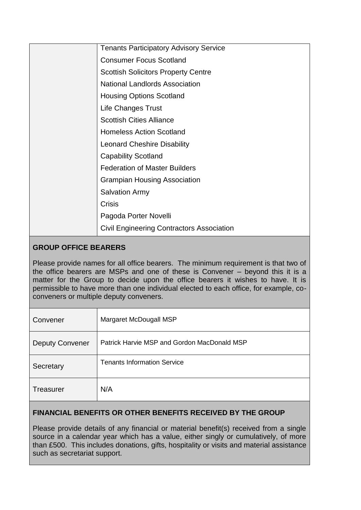| <b>Tenants Participatory Advisory Service</b>    |
|--------------------------------------------------|
| <b>Consumer Focus Scotland</b>                   |
| <b>Scottish Solicitors Property Centre</b>       |
| <b>National Landlords Association</b>            |
| <b>Housing Options Scotland</b>                  |
| <b>Life Changes Trust</b>                        |
| <b>Scottish Cities Alliance</b>                  |
| <b>Homeless Action Scotland</b>                  |
| <b>Leonard Cheshire Disability</b>               |
| <b>Capability Scotland</b>                       |
| <b>Federation of Master Builders</b>             |
| <b>Grampian Housing Association</b>              |
| <b>Salvation Army</b>                            |
| <b>Crisis</b>                                    |
| Pagoda Porter Novelli                            |
| <b>Civil Engineering Contractors Association</b> |

### **GROUP OFFICE BEARERS**

Please provide names for all office bearers. The minimum requirement is that two of the office bearers are MSPs and one of these is Convener – beyond this it is a matter for the Group to decide upon the office bearers it wishes to have. It is permissible to have more than one individual elected to each office, for example, coconveners or multiple deputy conveners.

| Convener               | Margaret McDougall MSP                      |
|------------------------|---------------------------------------------|
| <b>Deputy Convener</b> | Patrick Harvie MSP and Gordon MacDonald MSP |
| Secretary              | <b>Tenants Information Service</b>          |
| Treasurer              | N/A                                         |

### **FINANCIAL BENEFITS OR OTHER BENEFITS RECEIVED BY THE GROUP**

Please provide details of any financial or material benefit(s) received from a single source in a calendar year which has a value, either singly or cumulatively, of more than £500. This includes donations, gifts, hospitality or visits and material assistance such as secretariat support.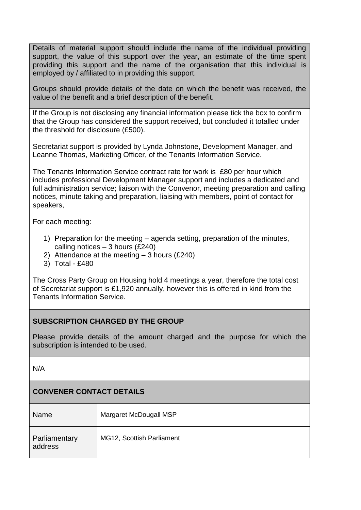Details of material support should include the name of the individual providing support, the value of this support over the year, an estimate of the time spent providing this support and the name of the organisation that this individual is employed by / affiliated to in providing this support.

Groups should provide details of the date on which the benefit was received, the value of the benefit and a brief description of the benefit.

If the Group is not disclosing any financial information please tick the box to confirm that the Group has considered the support received, but concluded it totalled under the threshold for disclosure (£500).

Secretariat support is provided by Lynda Johnstone, Development Manager, and Leanne Thomas, Marketing Officer, of the Tenants Information Service.

The Tenants Information Service contract rate for work is £80 per hour which includes professional Development Manager support and includes a dedicated and full administration service; liaison with the Convenor, meeting preparation and calling notices, minute taking and preparation, liaising with members, point of contact for speakers,

For each meeting:

- 1) Preparation for the meeting agenda setting, preparation of the minutes, calling notices  $-3$  hours (£240)
- 2) Attendance at the meeting 3 hours (£240)
- 3) Total £480

The Cross Party Group on Housing hold 4 meetings a year, therefore the total cost of Secretariat support is £1,920 annually, however this is offered in kind from the Tenants Information Service.

### **SUBSCRIPTION CHARGED BY THE GROUP**

Please provide details of the amount charged and the purpose for which the subscription is intended to be used.

N/A

# **CONVENER CONTACT DETAILS**

| Name                     | Margaret McDougall MSP    |
|--------------------------|---------------------------|
| Parliamentary<br>address | MG12, Scottish Parliament |